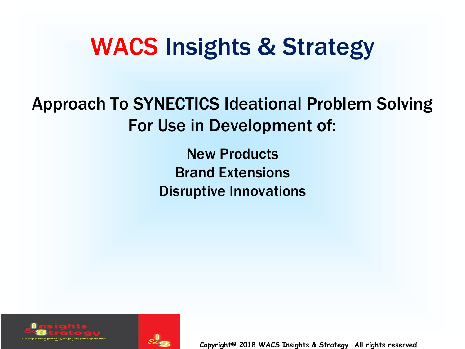# WACS Insights & Strategy

# Approach To SYNECTICS Ideational Problem Solving For Use in Development of:

New Products Brand Extensions Disruptive Innovations



**Copyright© 2018 WACS Insights & Strategy. All rights reserved**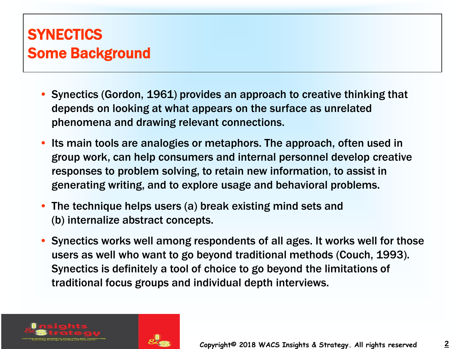## **SYNECTICS** Some Background

- Synectics (Gordon, 1961) provides an approach to creative thinking that depends on looking at what appears on the surface as unrelated phenomena and drawing relevant connections.
- Its main tools are analogies or metaphors. The approach, often used in group work, can help consumers and internal personnel develop creative responses to problem solving, to retain new information, to assist in generating writing, and to explore usage and behavioral problems.
- The technique helps users (a) break existing mind sets and (b) internalize abstract concepts.
- Synectics works well among respondents of all ages. It works well for those users as well who want to go beyond traditional methods (Couch, 1993). Synectics is definitely a tool of choice to go beyond the limitations of traditional focus groups and individual depth interviews.

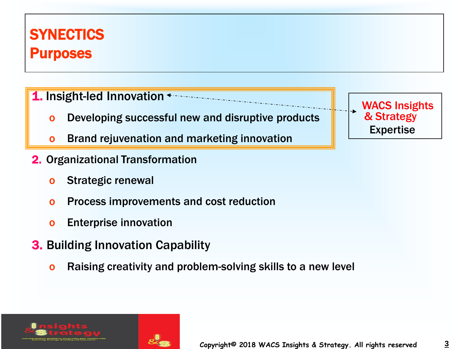# **SYNECTICS** Purposes

1. Insight-led Innovation <

- o Developing successful new and disruptive products
- **o** Brand rejuvenation and marketing innovation
- 2. Organizational Transformation
	- o Strategic renewal
	- o Process improvements and cost reduction
	- o Enterprise innovation
- **3. Building Innovation Capability** 
	- o Raising creativity and problem-solving skills to a new level



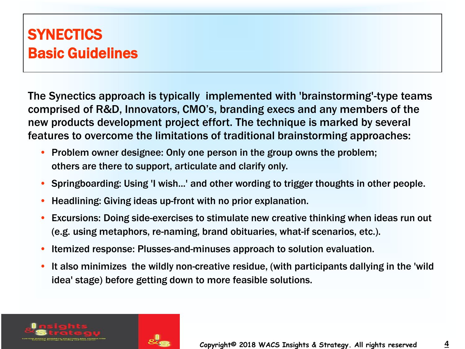## **SYNECTICS** Basic Guidelines

The Synectics approach is typically implemented with 'brainstorming'-type teams comprised of R&D, Innovators, CMO's, branding execs and any members of the new products development project effort. The technique is marked by several features to overcome the limitations of traditional brainstorming approaches:

- Problem owner designee: Only one person in the group owns the problem; others are there to support, articulate and clarify only.
- Springboarding: Using 'I wish...' and other wording to trigger thoughts in other people.
- Headlining: Giving ideas up-front with no prior explanation.
- Excursions: Doing side-exercises to stimulate new creative thinking when ideas run out (e.g. using metaphors, re-naming, brand obituaries, what-if scenarios, etc.).
- Itemized response: Plusses-and-minuses approach to solution evaluation.
- It also minimizes the wildly non-creative residue, (with participants dallying in the 'wild idea' stage) before getting down to more feasible solutions.

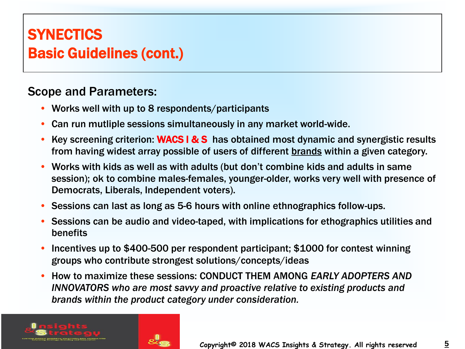## **SYNECTICS** Basic Guidelines (cont.)

#### Scope and Parameters:

- Works well with up to 8 respondents/participants
- Can run mutliple sessions simultaneously in any market world-wide.
- Key screening criterion: WACS I & S has obtained most dynamic and synergistic results from having widest array possible of users of different brands within a given category.
- Works with kids as well as with adults (but don't combine kids and adults in same session); ok to combine males-females, younger-older, works very well with presence of Democrats, Liberals, Independent voters).
- Sessions can last as long as 5-6 hours with online ethnographics follow-ups.
- Sessions can be audio and video-taped, with implications for ethographics utilities and benefits
- Incentives up to \$400-500 per respondent participant; \$1000 for contest winning groups who contribute strongest solutions/concepts/ideas
- How to maximize these sessions: CONDUCT THEM AMONG *EARLY ADOPTERS AND INNOVATORS who are most savvy and proactive relative to existing products and brands within the product category under consideration.*

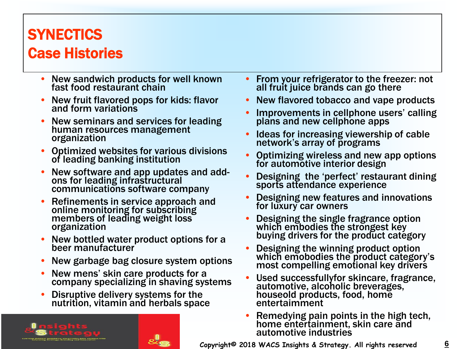# **SYNECTICS** Case Histories

- New sandwich products for well known fast food restaurant chain
- New fruit flavored pops for kids: flavor and form variations
- New seminars and services for leading human resources management organization
- Optimized websites for various divisions of leading banking institution
- New software and app updates and addons for leading infrastructural communications software company
- Refinements in service approach and online monitoring for subscribing members of leading weight loss organization
- New bottled water product options for a beer manufacturer
- New garbage bag closure system options
- New mens' skin care products for a company specializing in shaving systems
- Disruptive delivery systems for the nutrition, vitamin and herbals space



- From your refrigerator to the freezer: not all fruit juice brands can go there
- New flavored tobacco and vape products
- Improvements in cellphone users' calling plans and new cellphone apps
- Ideas for increasing viewership of cable network's array of programs
- Optimizing wireless and new app options for automotive interior design
- Designing the 'perfect' restaurant dining sports attendance experience
- Designing new features and innovations for luxury car owners
- Designing the single fragrance option which embodies the strongest key buying drivers for the product category
- Designing the winning product option which emobodies the product category's most compelling emotional key drivers
- Used successfullyfor skincare, fragrance, automotive, alcoholic breverages, houseold products, food, home entertaimment
- Remedying pain points in the high tech, home entertainment, skin care and automotive industries

**Copyright© 2018 WACS Insights & Strategy. All rights reserved <sup>6</sup>**